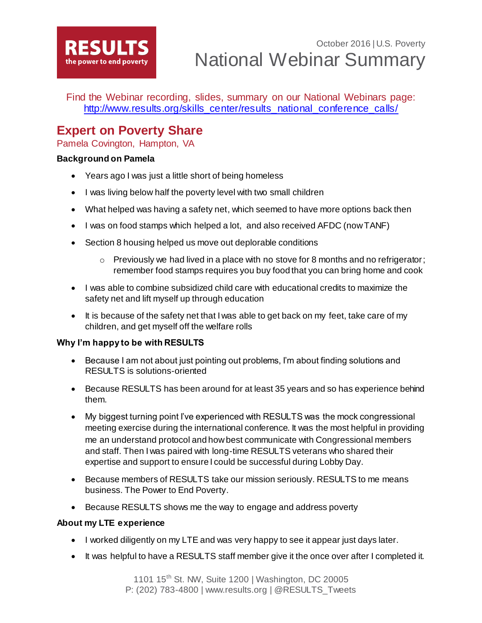

Find the Webinar recording, slides, summary on our National Webinars page: [http://www.results.org/skills\\_center/results\\_national\\_conference\\_calls/](http://www.results.org/skills_center/results_national_conference_calls/)

# **Expert on Poverty Share**

Pamela Covington, Hampton, VA

## **Background on Pamela**

- Years ago I was just a little short of being homeless
- I was living below half the poverty level with two small children
- What helped was having a safety net, which seemed to have more options back then
- I was on food stamps which helped a lot, and also received AFDC (now TANF)
- Section 8 housing helped us move out deplorable conditions
	- o Previously we had lived in a place with no stove for 8 months and no refrigerator; remember food stamps requires you buy food that you can bring home and cook
- I was able to combine subsidized child care with educational credits to maximize the safety net and lift myself up through education
- It is because of the safety net that I was able to get back on my feet, take care of my children, and get myself off the welfare rolls

## **Why I'm happy to be with RESULTS**

- Because I am not about just pointing out problems, I'm about finding solutions and RESULTS is solutions-oriented
- Because RESULTS has been around for at least 35 years and so has experience behind them.
- My biggest turning point I've experienced with RESULTS was the mock congressional meeting exercise during the international conference. It was the most helpful in providing me an understand protocol and how best communicate with Congressional members and staff. Then I was paired with long-time RESULTS veterans who shared their expertise and support to ensure I could be successful during Lobby Day.
- Because members of RESULTS take our mission seriously. RESULTS to me means business. The Power to End Poverty.
- Because RESULTS shows me the way to engage and address poverty

## **About my LTE experience**

- I worked diligently on my LTE and was very happy to see it appear just days later.
- It was helpful to have a RESULTS staff member give it the once over after I completed it.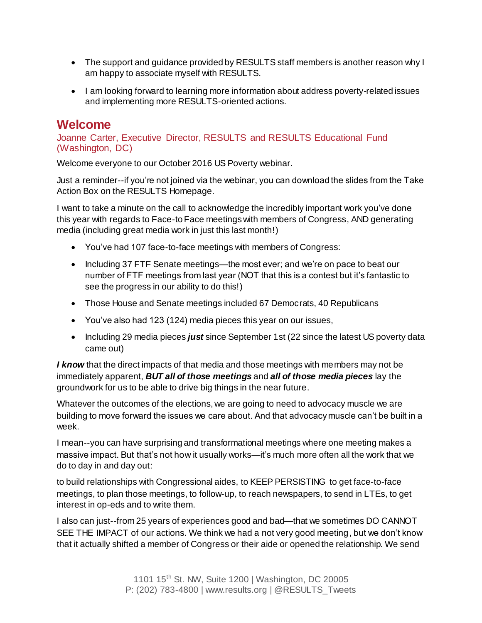- The support and guidance provided by RESULTS staff members is another reason why I am happy to associate myself with RESULTS.
- I am looking forward to learning more information about address poverty-related issues and implementing more RESULTS-oriented actions.

# **Welcome**

Joanne Carter, Executive Director, RESULTS and RESULTS Educational Fund (Washington, DC)

Welcome everyone to our October 2016 US Poverty webinar.

Just a reminder--if you're not joined via the webinar, you can download the slides from the Take Action Box on the RESULTS Homepage.

I want to take a minute on the call to acknowledge the incredibly important work you've done this year with regards to Face-to Face meetings with members of Congress, AND generating media (including great media work in just this last month!)

- You've had 107 face-to-face meetings with members of Congress:
- Including 37 FTF Senate meetings—the most ever; and we're on pace to beat our number of FTF meetings from last year (NOT that this is a contest but it's fantastic to see the progress in our ability to do this!)
- Those House and Senate meetings included 67 Democrats, 40 Republicans
- You've also had 123 (124) media pieces this year on our issues,
- Including 29 media pieces *just* since September 1st (22 since the latest US poverty data came out)

*I know* that the direct impacts of that media and those meetings with members may not be immediately apparent, *BUT all of those meetings* and *all of those media pieces* lay the groundwork for us to be able to drive big things in the near future.

Whatever the outcomes of the elections, we are going to need to advocacy muscle we are building to move forward the issues we care about. And that advocacy muscle can't be built in a week.

I mean--you can have surprising and transformational meetings where one meeting makes a massive impact. But that's not how it usually works—it's much more often all the work that we do to day in and day out:

to build relationships with Congressional aides, to KEEP PERSISTING to get face-to-face meetings, to plan those meetings, to follow-up, to reach newspapers, to send in LTEs, to get interest in op-eds and to write them.

I also can just--from 25 years of experiences good and bad—that we sometimes DO CANNOT SEE THE IMPACT of our actions. We think we had a not very good meeting, but we don't know that it actually shifted a member of Congress or their aide or opened the relationship. We send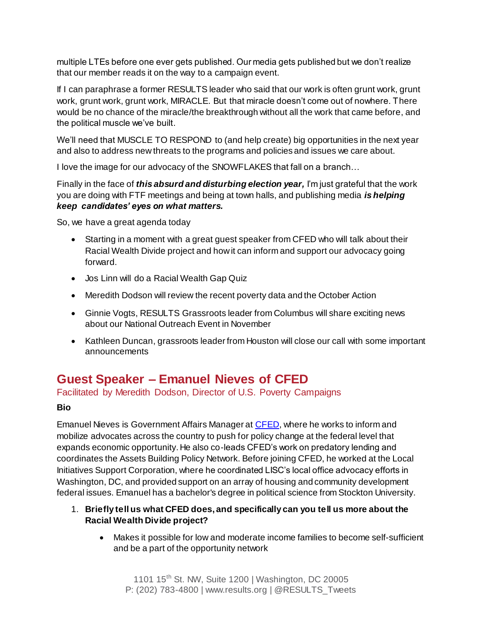multiple LTEs before one ever gets published. Our media gets published but we don't realize that our member reads it on the way to a campaign event.

If I can paraphrase a former RESULTS leader who said that our work is often grunt work, grunt work, grunt work, grunt work, MIRACLE. But that miracle doesn't come out of nowhere. There would be no chance of the miracle/the breakthrough without all the work that came before, and the political muscle we've built.

We'll need that MUSCLE TO RESPOND to (and help create) big opportunities in the next year and also to address new threats to the programs and policies and issues we care about.

I love the image for our advocacy of the SNOWFLAKES that fall on a branch…

Finally in the face of *this absurd and disturbing election year,* I'm just grateful that the work you are doing with FTF meetings and being at town halls, and publishing media *is helping keep candidates' eyes on what matters.*

So, we have a great agenda today

- Starting in a moment with a great guest speaker from CFED who will talk about their Racial Wealth Divide project and how it can inform and support our advocacy going forward.
- Jos Linn will do a Racial Wealth Gap Quiz
- Meredith Dodson will review the recent poverty data and the October Action
- Ginnie Vogts, RESULTS Grassroots leader from Columbus will share exciting news about our National Outreach Event in November
- Kathleen Duncan, grassroots leader from Houston will close our call with some important announcements

# **Guest Speaker – Emanuel Nieves of CFED**

Facilitated by Meredith Dodson, Director of U.S. Poverty Campaigns

## **Bio**

Emanuel Nieves is Government Affairs Manager a[t CFED,](http://www.cfed.org/) where he works to inform and mobilize advocates across the country to push for policy change at the federal level that expands economic opportunity. He also co-leads CFED's work on predatory lending and coordinates the Assets Building Policy Network. Before joining CFED, he worked at the Local Initiatives Support Corporation, where he coordinated LISC's local office advocacy efforts in Washington, DC, and provided support on an array of housing and community development federal issues. Emanuel has a bachelor's degree in political science from Stockton University.

- 1. **Briefly tell us what CFED does, and specifically can you tell us more about the Racial Wealth Divide project?**
	- Makes it possible for low and moderate income families to become self-sufficient and be a part of the opportunity network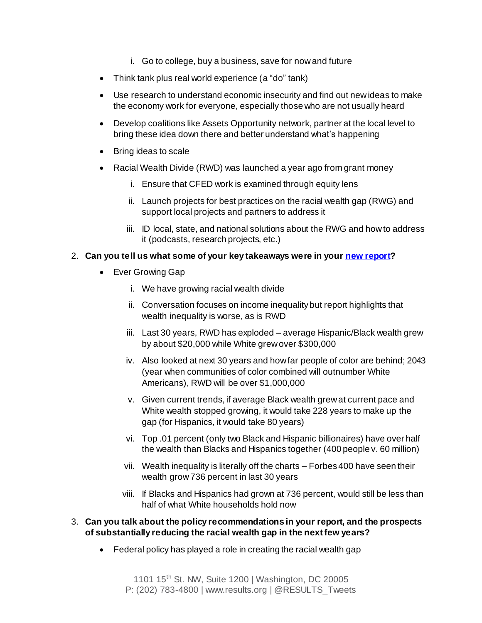- i. Go to college, buy a business, save for now and future
- Think tank plus real world experience (a "do" tank)
- Use research to understand economic insecurity and find out new ideas to make the economy work for everyone, especially those who are not usually heard
- Develop coalitions like Assets Opportunity network, partner at the local level to bring these idea down there and better understand what's happening
- Bring ideas to scale
- Racial Wealth Divide (RWD) was launched a year ago from grant money
	- i. Ensure that CFED work is examined through equity lens
	- ii. Launch projects for best practices on the racial wealth gap (RWG) and support local projects and partners to address it
	- iii. ID local, state, and national solutions about the RWG and how to address it (podcasts, research projects, etc.)

### 2. **Can you tell us what some of your key takeaways were in you[r new report](http://www.ips-dc.org/wp-content/uploads/2016/08/The-Ever-Growing-Gap-CFED_IPS-Final-1.pdf)?**

- Ever Growing Gap
	- i. We have growing racial wealth divide
	- ii. Conversation focuses on income inequality but report highlights that wealth inequality is worse, as is RWD
	- iii. Last 30 years, RWD has exploded average Hispanic/Black wealth grew by about \$20,000 while White grew over \$300,000
	- iv. Also looked at next 30 years and how far people of color are behind; 2043 (year when communities of color combined will outnumber White Americans), RWD will be over \$1,000,000
	- v. Given current trends, if average Black wealth grew at current pace and White wealth stopped growing, it would take 228 years to make up the gap (for Hispanics, it would take 80 years)
	- vi. Top .01 percent (only two Black and Hispanic billionaires) have over half the wealth than Blacks and Hispanics together (400 people v. 60 million)
	- vii. Wealth inequality is literally off the charts Forbes 400 have seen their wealth grow 736 percent in last 30 years
	- viii. If Blacks and Hispanics had grown at 736 percent, would still be less than half of what White households hold now
- 3. **Can you talk about the policy recommendations in your report, and the prospects of substantially reducing the racial wealth gap in the next few years?** 
	- Federal policy has played a role in creating the racial wealth gap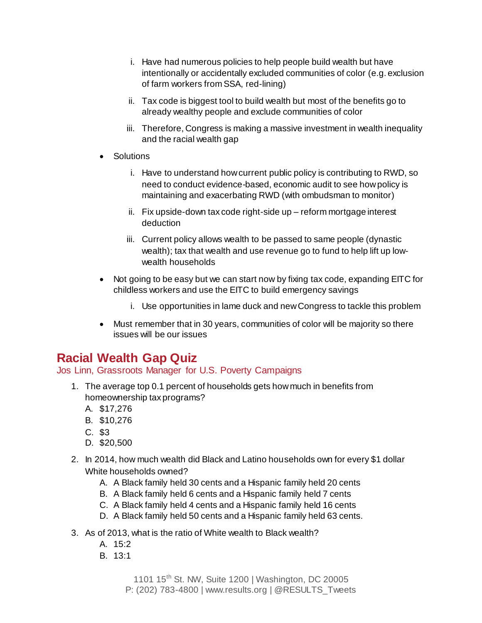- i. Have had numerous policies to help people build wealth but have intentionally or accidentally excluded communities of color (e.g. exclusion of farm workers from SSA, red-lining)
- ii. Tax code is biggest tool to build wealth but most of the benefits go to already wealthy people and exclude communities of color
- iii. Therefore, Congress is making a massive investment in wealth inequality and the racial wealth gap
- **Solutions** 
	- i. Have to understand how current public policy is contributing to RWD, so need to conduct evidence-based, economic audit to see how policy is maintaining and exacerbating RWD (with ombudsman to monitor)
	- ii. Fix upside-down tax code right-side up reform mortgage interest deduction
	- iii. Current policy allows wealth to be passed to same people (dynastic wealth); tax that wealth and use revenue go to fund to help lift up lowwealth households
- Not going to be easy but we can start now by fixing tax code, expanding EITC for childless workers and use the EITC to build emergency savings
	- i. Use opportunities in lame duck and new Congress to tackle this problem
- Must remember that in 30 years, communities of color will be majority so there issues will be our issues

# **Racial Wealth Gap Quiz**

Jos Linn, Grassroots Manager for U.S. Poverty Campaigns

- 1. The average top 0.1 percent of households gets how much in benefits from homeownership tax programs?
	- A. \$17,276
	- B. \$10,276
	- C. \$3
	- D. \$20,500
- 2. In 2014, how much wealth did Black and Latino households own for every \$1 dollar White households owned?
	- A. A Black family held 30 cents and a Hispanic family held 20 cents
	- B. A Black family held 6 cents and a Hispanic family held 7 cents
	- C. A Black family held 4 cents and a Hispanic family held 16 cents
	- D. A Black family held 50 cents and a Hispanic family held 63 cents.
- 3. As of 2013, what is the ratio of White wealth to Black wealth?
	- A. 15:2
	- B. 13:1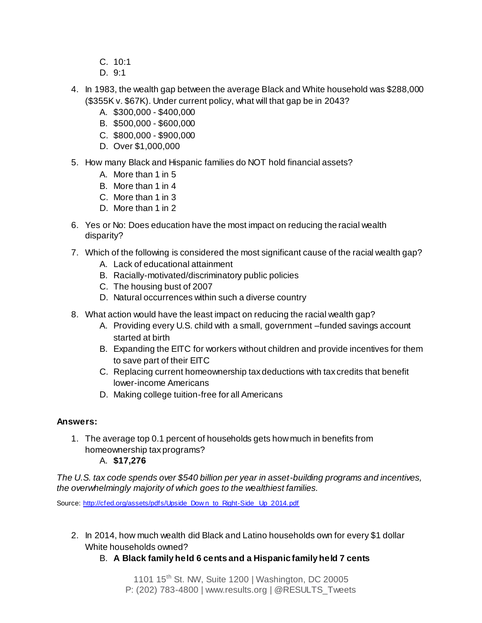- C. 10:1
- D. 9:1
- 4. In 1983, the wealth gap between the average Black and White household was \$288,000 (\$355K v. \$67K). Under current policy, what will that gap be in 2043?
	- A. \$300,000 \$400,000
	- B. \$500,000 \$600,000
	- C. \$800,000 \$900,000
	- D. Over \$1,000,000
- 5. How many Black and Hispanic families do NOT hold financial assets?
	- A. More than 1 in 5
	- B. More than 1 in 4
	- C. More than 1 in 3
	- D. More than 1 in 2
- 6. Yes or No: Does education have the most impact on reducing the racial wealth disparity?
- 7. Which of the following is considered the most significant cause of the racial wealth gap?
	- A. Lack of educational attainment
	- B. Racially-motivated/discriminatory public policies
	- C. The housing bust of 2007
	- D. Natural occurrences within such a diverse country
- 8. What action would have the least impact on reducing the racial wealth gap?
	- A. Providing every U.S. child with a small, government –funded savings account started at birth
	- B. Expanding the EITC for workers without children and provide incentives for them to save part of their EITC
	- C. Replacing current homeownership tax deductions with tax credits that benefit lower-income Americans
	- D. Making college tuition-free for all Americans

#### **Answers:**

- 1. The average top 0.1 percent of households gets how much in benefits from homeownership tax programs?
	- A. **\$17,276**

*The U.S. tax code spends over \$540 billion per year in asset-building programs and incentives, the overwhelmingly majority of which goes to the wealthiest families.*

Source: [http://cfed.org/assets/pdfs/Upside\\_Dow n\\_to\\_Right-Side\\_Up\\_2014.pdf](http://cfed.org/assets/pdfs/Upside_Down_to_Right-Side_Up_2014.pdf)

- 2. In 2014, how much wealth did Black and Latino households own for every \$1 dollar White households owned?
	- B. **A Black family held 6 cents and a Hispanic family held 7 cents**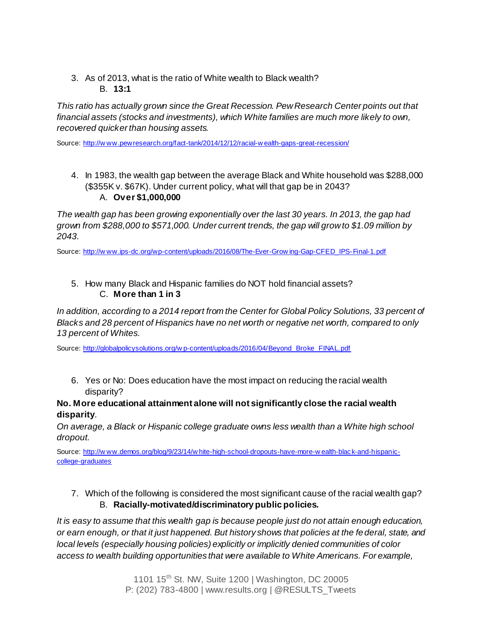3. As of 2013, what is the ratio of White wealth to Black wealth? B. **13:1**

*This ratio has actually grown since the Great Recession. Pew Research Center points out that financial assets (stocks and investments), which White families are much more likely to own, recovered quicker than housing assets.*

Source: [http://w ww.pewresearch.org/fact-tank/2014/12/12/racial-w ealth-gaps-great-recession/](http://www.pewresearch.org/fact-tank/2014/12/12/racial-wealth-gaps-great-recession/)

4. In 1983, the wealth gap between the average Black and White household was \$288,000 (\$355K v. \$67K). Under current policy, what will that gap be in 2043? A. **Over \$1,000,000**

*The wealth gap has been growing exponentially over the last 30 years. In 2013, the gap had grown from \$288,000 to \$571,000. Under current trends, the gap will grow to \$1.09 million by 2043.*

Source: [http://w ww.ips-dc.org/wp-content/uploads/2016/08/The-Ever-Grow ing-Gap-CFED\\_IPS-Final-1.pdf](http://www.ips-dc.org/wp-content/uploads/2016/08/The-Ever-Growing-Gap-CFED_IPS-Final-1.pdf)

### 5. How many Black and Hispanic families do NOT hold financial assets? C. **More than 1 in 3**

*In addition, according to a 2014 report from the Center for Global Policy Solutions, 33 percent of Blacks and 28 percent of Hispanics have no net worth or negative net worth, compared to only 13 percent of Whites.*

Source: [http://globalpolicysolutions.org/w p-content/uploads/2016/04/Beyond\\_Broke\\_FINAL.pdf](http://globalpolicysolutions.org/wp-content/uploads/2016/04/Beyond_Broke_FINAL.pdf)

6. Yes or No: Does education have the most impact on reducing the racial wealth disparity?

## **No. More educational attainment alone will not significantly close the racial wealth disparity**.

*On average, a Black or Hispanic college graduate owns less wealth than a White high school dropout.*

Source: [http://w ww.demos.org/blog/9/23/14/w hite-high-school-dropouts-have-more-w ealth-black-and-hispanic](http://www.demos.org/blog/9/23/14/white-high-school-dropouts-have-more-wealth-black-and-hispanic-college-graduates)[college-graduates](http://www.demos.org/blog/9/23/14/white-high-school-dropouts-have-more-wealth-black-and-hispanic-college-graduates)

7. Which of the following is considered the most significant cause of the racial wealth gap? B. **Racially-motivated/discriminatory public policies.**

*It is easy to assume that this wealth gap is because people just do not attain enough education, or earn enough, or that it just happened. But history shows that policies at the federal, state, and local levels (especially housing policies) explicitly or implicitly denied communities of color access to wealth building opportunities that were available to White Americans. For example,*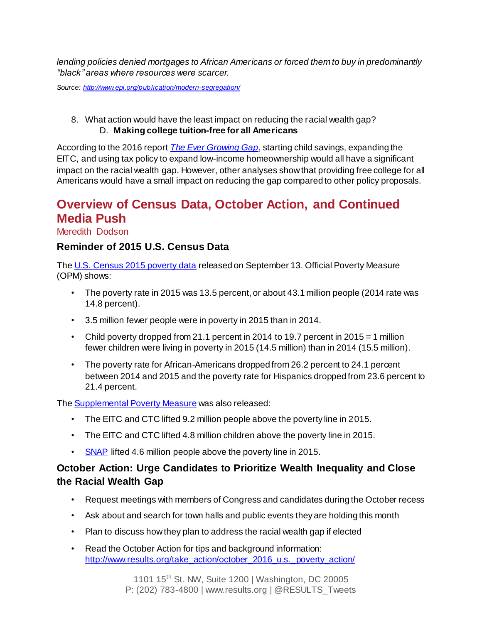*lending policies denied mortgages to African Americans or forced them to buy in predominantly "black" areas where resources were scarcer.* 

*Source:<http://www.epi.org/publication/modern-segregation/>*

8. What action would have the least impact on reducing the racial wealth gap? D. **Making college tuition-free for all Americans**

According to the 2016 report *[The Ever Growing Gap](http://www.ips-dc.org/wp-content/uploads/2016/08/The-Ever-Growing-Gap-CFED_IPS-Final-1.pdf)*, starting child savings, expanding the EITC, and using tax policy to expand low-income homeownership would all have a significant impact on the racial wealth gap. However, other analyses show that providing free college for all Americans would have a small impact on reducing the gap compared to other policy proposals.

# **Overview of Census Data, October Action, and Continued Media Push**

Meredith Dodson

## **Reminder of 2015 U.S. Census Data**

The [U.S. Census 2015 poverty data](http://www.census.gov/newsroom/press-releases/2016/cb16-158.html) released on September 13. Official Poverty Measure (OPM) shows:

- The poverty rate in 2015 was 13.5 percent, or about 43.1 million people (2014 rate was 14.8 percent).
- 3.5 million fewer people were in poverty in 2015 than in 2014.
- Child poverty dropped from 21.1 percent in 2014 to 19.7 percent in 2015 = 1 million fewer children were living in poverty in 2015 (14.5 million) than in 2014 (15.5 million).
- The poverty rate for African-Americans dropped from 26.2 percent to 24.1 percent between 2014 and 2015 and the poverty rate for Hispanics dropped from 23.6 percent to 21.4 percent.

The **Supplemental Poverty Measure** was also released:

- The EITC and CTC lifted 9.2 million people above the poverty line in 2015.
- The EITC and CTC lifted 4.8 million children above the poverty line in 2015.
- [SNAP](http://www.results.org/issues/supplemental_nutrition_assistance_program/) lifted 4.6 million people above the poverty line in 2015.

# **October Action: Urge Candidates to Prioritize Wealth Inequality and Close the Racial Wealth Gap**

- Request meetings with members of Congress and candidates during the October recess
- Ask about and search for town halls and public events they are holding this month
- Plan to discuss how they plan to address the racial wealth gap if elected
- Read the October Action for tips and background information: [http://www.results.org/take\\_action/october\\_2016\\_u.s.\\_poverty\\_action/](http://www.results.org/take_action/october_2016_u.s._poverty_action/)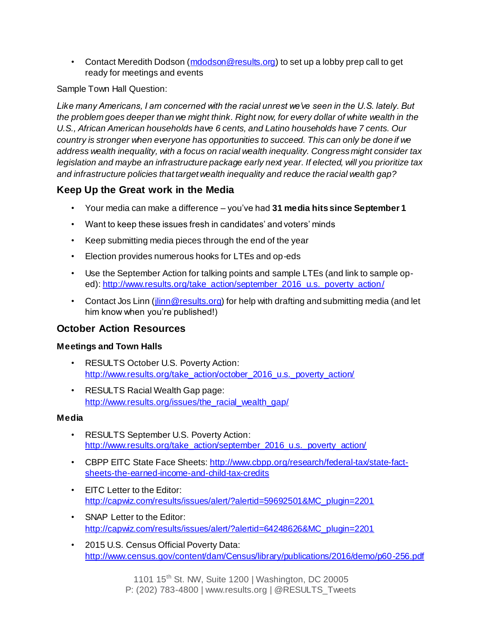• Contact Meredith Dodson [\(mdodson@results.org](mailto:mdodson@results.org)) to set up a lobby prep call to get ready for meetings and events

Sample Town Hall Question:

*Like many Americans, I am concerned with the racial unrest we've seen in the U.S. lately. But the problem goes deeper than we might think. Right now, for every dollar of white wealth in the U.S., African American households have 6 cents, and Latino households have 7 cents. Our country is stronger when everyone has opportunities to succeed. This can only be done if we address wealth inequality, with a focus on racial wealth inequality. Congress might consider tax legislation and maybe an infrastructure package early next year. If elected, will you prioritize tax and infrastructure policies that target wealth inequality and reduce the racial wealth gap?*

# **Keep Up the Great work in the Media**

- Your media can make a difference you've had **31 media hits since September 1**
- Want to keep these issues fresh in candidates' and voters' minds
- Keep submitting media pieces through the end of the year
- Election provides numerous hooks for LTEs and op-eds
- Use the September Action for talking points and sample LTEs (and link to sample op-ed)[: http://www.results.org/take\\_action/september\\_2016\\_u.s.\\_poverty\\_action/](http://www.results.org/take_action/september_2016_u.s._poverty_action/)
- Contact Jos Linn (*jlinn@results.org*) for help with drafting and submitting media (and let him know when you're published!)

# **October Action Resources**

## **Meetings and Town Halls**

- RESULTS October U.S. Poverty Action: [http://www.results.org/take\\_action/october\\_2016\\_u.s.\\_poverty\\_action/](http://www.results.org/take_action/october_2016_u.s._poverty_action/)
- RESULTS Racial Wealth Gap page: [http://www.results.org/issues/the\\_racial\\_wealth\\_gap/](http://www.results.org/issues/the_racial_wealth_gap/)

## **Media**

- RESULTS September U.S. Poverty Action: [http://www.results.org/take\\_action/september\\_2016\\_u.s.\\_poverty\\_action/](http://www.results.org/take_action/september_2016_u.s._poverty_action/)
- CBPP EITC State Face Sheets[: http://www.cbpp.org/research/federal-tax/state-fact](http://www.cbpp.org/research/federal-tax/state-fact-sheets-the-earned-income-and-child-tax-credits)[sheets-the-earned-income-and-child-tax-credits](http://www.cbpp.org/research/federal-tax/state-fact-sheets-the-earned-income-and-child-tax-credits)
- EITC Letter to the Editor: [http://capwiz.com/results/issues/alert/?alertid=59692501&MC\\_plugin=2201](http://capwiz.com/results/issues/alert/?alertid=59692501&MC_plugin=2201)
- SNAP Letter to the Editor: [http://capwiz.com/results/issues/alert/?alertid=64248626&MC\\_plugin=2201](http://capwiz.com/results/issues/alert/?alertid=64248626&MC_plugin=2201)
- 2015 U.S. Census Official Poverty Data: <http://www.census.gov/content/dam/Census/library/publications/2016/demo/p60-256.pdf>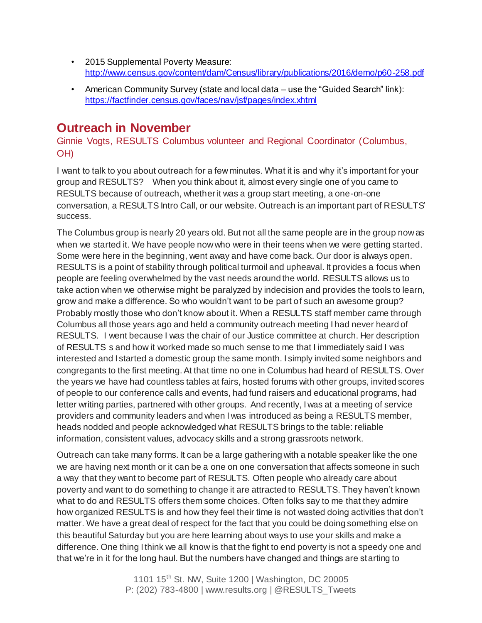- 2015 Supplemental Poverty Measure: <http://www.census.gov/content/dam/Census/library/publications/2016/demo/p60-258.pdf>
- American Community Survey (state and local data use the "Guided Search" link): <https://factfinder.census.gov/faces/nav/jsf/pages/index.xhtml>

# **Outreach in November**

Ginnie Vogts, RESULTS Columbus volunteer and Regional Coordinator (Columbus, OH)

I want to talk to you about outreach for a few minutes. What it is and why it's important for your group and RESULTS? When you think about it, almost every single one of you came to RESULTS because of outreach, whether it was a group start meeting, a one-on-one conversation, a RESULTS Intro Call, or our website. Outreach is an important part of RESULTS' success.

The Columbus group is nearly 20 years old. But not all the same people are in the group now as when we started it. We have people now who were in their teens when we were getting started. Some were here in the beginning, went away and have come back. Our door is always open. RESULTS is a point of stability through political turmoil and upheaval. It provides a focus when people are feeling overwhelmed by the vast needs around the world. RESULTS allows us to take action when we otherwise might be paralyzed by indecision and provides the tools to learn, grow and make a difference. So who wouldn't want to be part of such an awesome group? Probably mostly those who don't know about it. When a RESULTS staff member came through Columbus all those years ago and held a community outreach meeting I had never heard of RESULTS. I went because I was the chair of our Justice committee at church. Her description of RESULTS s and how it worked made so much sense to me that I immediately said I was interested and I started a domestic group the same month. I simply invited some neighbors and congregants to the first meeting. At that time no one in Columbus had heard of RESULTS. Over the years we have had countless tables at fairs, hosted forums with other groups, invited scores of people to our conference calls and events, had fund raisers and educational programs, had letter writing parties, partnered with other groups. And recently, I was at a meeting of service providers and community leaders and when I was introduced as being a RESULTS member, heads nodded and people acknowledged what RESULTS brings to the table: reliable information, consistent values, advocacy skills and a strong grassroots network.

Outreach can take many forms. It can be a large gathering with a notable speaker like the one we are having next month or it can be a one on one conversation that affects someone in such a way that they want to become part of RESULTS. Often people who already care about poverty and want to do something to change it are attracted to RESULTS. They haven't known what to do and RESULTS offers them some choices. Often folks say to me that they admire how organized RESULTS is and how they feel their time is not wasted doing activities that don't matter. We have a great deal of respect for the fact that you could be doing something else on this beautiful Saturday but you are here learning about ways to use your skills and make a difference. One thing I think we all know is that the fight to end poverty is not a speedy one and that we're in it for the long haul. But the numbers have changed and things are starting to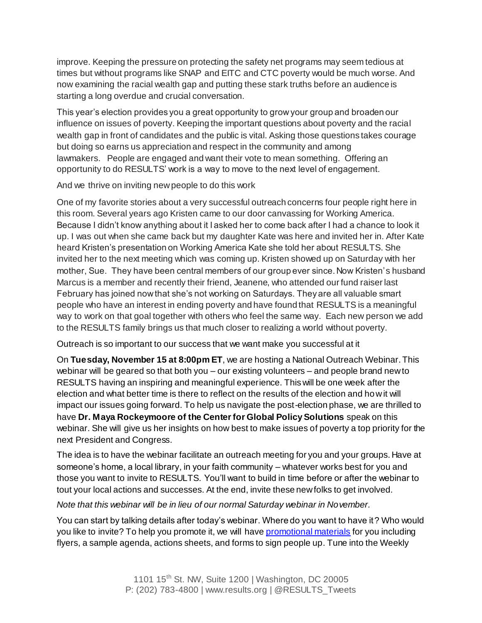improve. Keeping the pressure on protecting the safety net programs may seem tedious at times but without programs like SNAP and EITC and CTC poverty would be much worse. And now examining the racial wealth gap and putting these stark truths before an audience is starting a long overdue and crucial conversation.

This year's election provides you a great opportunity to grow your group and broaden our influence on issues of poverty. Keeping the important questions about poverty and the racial wealth gap in front of candidates and the public is vital. Asking those questions takes courage but doing so earns us appreciation and respect in the community and among lawmakers. People are engaged and want their vote to mean something. Offering an opportunity to do RESULTS' work is a way to move to the next level of engagement.

And we thrive on inviting new people to do this work

One of my favorite stories about a very successful outreach concerns four people right here in this room. Several years ago Kristen came to our door canvassing for Working America. Because I didn't know anything about it I asked her to come back after I had a chance to look it up. I was out when she came back but my daughter Kate was here and invited her in. After Kate heard Kristen's presentation on Working America Kate she told her about RESULTS. She invited her to the next meeting which was coming up. Kristen showed up on Saturday with her mother, Sue. They have been central members of our group ever since. Now Kristen's husband Marcus is a member and recently their friend, Jeanene, who attended our fund raiser last February has joined now that she's not working on Saturdays. They are all valuable smart people who have an interest in ending poverty and have found that RESULTS is a meaningful way to work on that goal together with others who feel the same way. Each new person we add to the RESULTS family brings us that much closer to realizing a world without poverty.

Outreach is so important to our success that we want make you successful at it

On **Tuesday, November 15 at 8:00pm ET**, we are hosting a National Outreach Webinar. This webinar will be geared so that both you – our existing volunteers – and people brand new to RESULTS having an inspiring and meaningful experience. This will be one week after the election and what better time is there to reflect on the results of the election and how it will impact our issues going forward. To help us navigate the post-election phase, we are thrilled to have **Dr. Maya Rockeymoore of the Center for Global Policy Solutions** speak on this webinar. She will give us her insights on how best to make issues of poverty a top priority for the next President and Congress.

The idea is to have the webinar facilitate an outreach meeting for you and your groups. Have at someone's home, a local library, in your faith community – whatever works best for you and those you want to invite to RESULTS. You'll want to build in time before or after the webinar to tout your local actions and successes. At the end, invite these new folks to get involved.

*Note that this webinar will be in lieu of our normal Saturday webinar in November.* 

You can start by talking details after today's webinar. Where do you want to have it? Who would you like to invite? To help you promote it, we will hav[e promotional materials](http://www.results.org/take_action/make_this_years_election_matter/) for you including flyers, a sample agenda, actions sheets, and forms to sign people up. Tune into the Weekly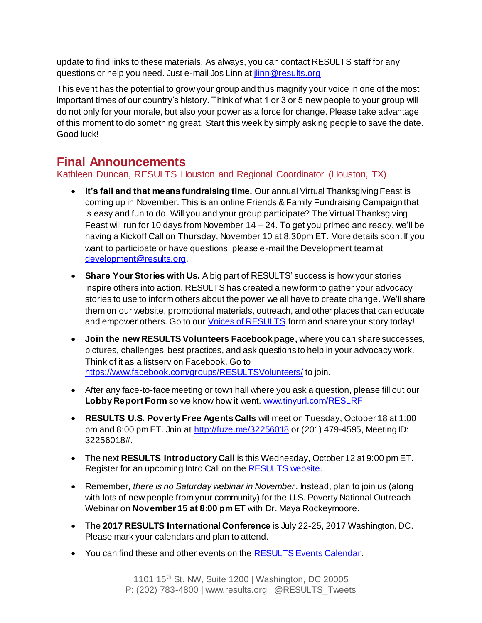update to find links to these materials. As always, you can contact RESULTS staff for any questions or help you need. Just e-mail Jos Linn at *jinn@results.org*.

This event has the potential to grow your group and thus magnify your voice in one of the most important times of our country's history. Think of what 1 or 3 or 5 new people to your group will do not only for your morale, but also your power as a force for change. Please take advantage of this moment to do something great. Start this week by simply asking people to save the date. Good luck!

# **Final Announcements**

# Kathleen Duncan, RESULTS Houston and Regional Coordinator (Houston, TX)

- **It's fall and that means fundraising time.** Our annual Virtual Thanksgiving Feast is coming up in November. This is an online Friends & Family Fundraising Campaign that is easy and fun to do. Will you and your group participate? The Virtual Thanksgiving Feast will run for 10 days from November 14 – 24. To get you primed and ready, we'll be having a Kickoff Call on Thursday, November 10 at 8:30pm ET. More details soon. If you want to participate or have questions, please e-mail the Development team at [development@results.org](mailto:development@results.org).
- **Share Your Stories with Us.** A big part of RESULTS' success is how your stories inspire others into action. RESULTS has created a new form to gather your advocacy stories to use to inform others about the power we all have to create change. We'll share them on our website, promotional materials, outreach, and other places that can educate and empower others. Go to ou[r Voices of RESULTS](https://results1.typeform.com/to/RuPJ9R) form and share your story today!
- **Join the new RESULTS Volunteers Facebook page,** where you can share successes, pictures, challenges, best practices, and ask questions to help in your advocacy work. Think of it as a listserv on Facebook. Go to <https://www.facebook.com/groups/RESULTSVolunteers/> to join.
- After any face-to-face meeting or town hall where you ask a question, please fill out our **Lobby Report Form** so we know how it went. [www.tinyurl.com/RESLRF](http://www.tinyurl.com/RESLRF)
- **RESULTS U.S. Poverty Free Agents Calls** will meet on Tuesday, October 18 at 1:00 pm and 8:00 pm ET. Join at<http://fuze.me/32256018> or (201) 479-4595, Meeting ID: 32256018#.
- The next **RESULTS Introductory Call** is this Wednesday, October 12 at 9:00 pm ET. Register for an upcoming Intro Call on th[e RESULTS website.](http://www.results.org/take_action/become_a_results_activist/)
- Remember*, there is no Saturday webinar in November*. Instead, plan to join us (along with lots of new people from your community) for the U.S. Poverty National Outreach Webinar on **November 15 at 8:00 pm ET** with Dr. Maya Rockeymoore.
- The **2017 RESULTS International Conference** is July 22-25, 2017 Washington, DC. Please mark your calendars and plan to attend.
- You can find these and other events on the **RESULTS Events Calendar**.